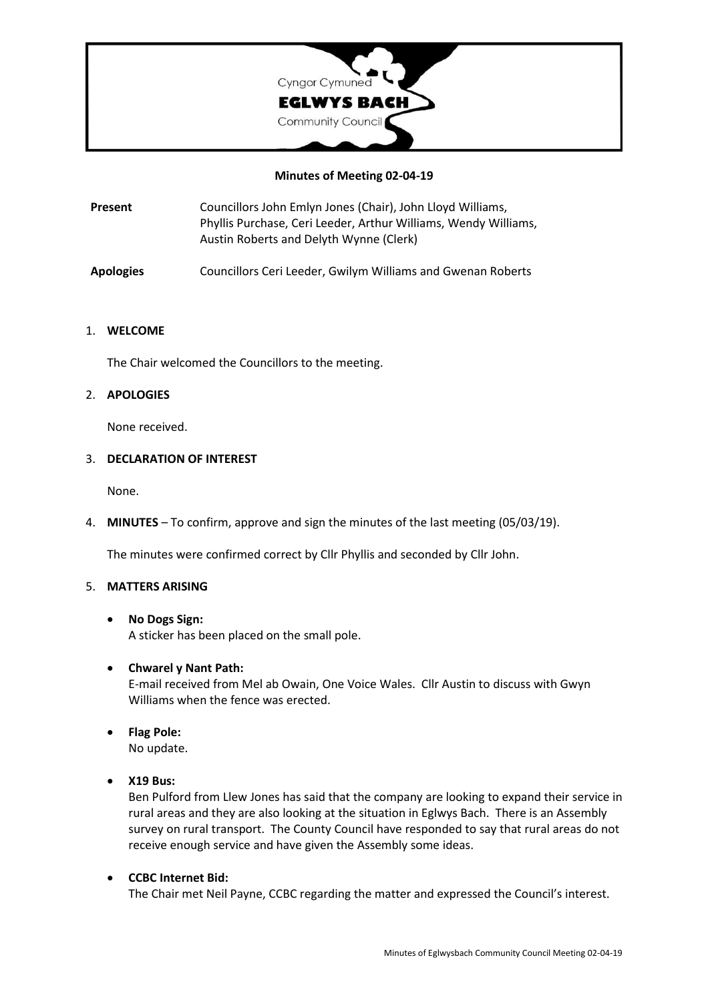

## **Minutes of Meeting 02-04-19**

**Present** Councillors John Emlyn Jones (Chair), John Lloyd Williams, Phyllis Purchase, Ceri Leeder, Arthur Williams, Wendy Williams, Austin Roberts and Delyth Wynne (Clerk)

**Apologies** Councillors Ceri Leeder, Gwilym Williams and Gwenan Roberts

#### 1. **WELCOME**

The Chair welcomed the Councillors to the meeting.

## 2. **APOLOGIES**

None received.

#### 3. **DECLARATION OF INTEREST**

None.

4. **MINUTES** – To confirm, approve and sign the minutes of the last meeting (05/03/19).

The minutes were confirmed correct by Cllr Phyllis and seconded by Cllr John.

#### 5. **MATTERS ARISING**

#### • **No Dogs Sign:**

A sticker has been placed on the small pole.

## • **Chwarel y Nant Path:**

E-mail received from Mel ab Owain, One Voice Wales. Cllr Austin to discuss with Gwyn Williams when the fence was erected.

- **Flag Pole:** No update.
- **X19 Bus:**

Ben Pulford from Llew Jones has said that the company are looking to expand their service in rural areas and they are also looking at the situation in Eglwys Bach. There is an Assembly survey on rural transport. The County Council have responded to say that rural areas do not receive enough service and have given the Assembly some ideas.

• **CCBC Internet Bid:** The Chair met Neil Payne, CCBC regarding the matter and expressed the Council's interest.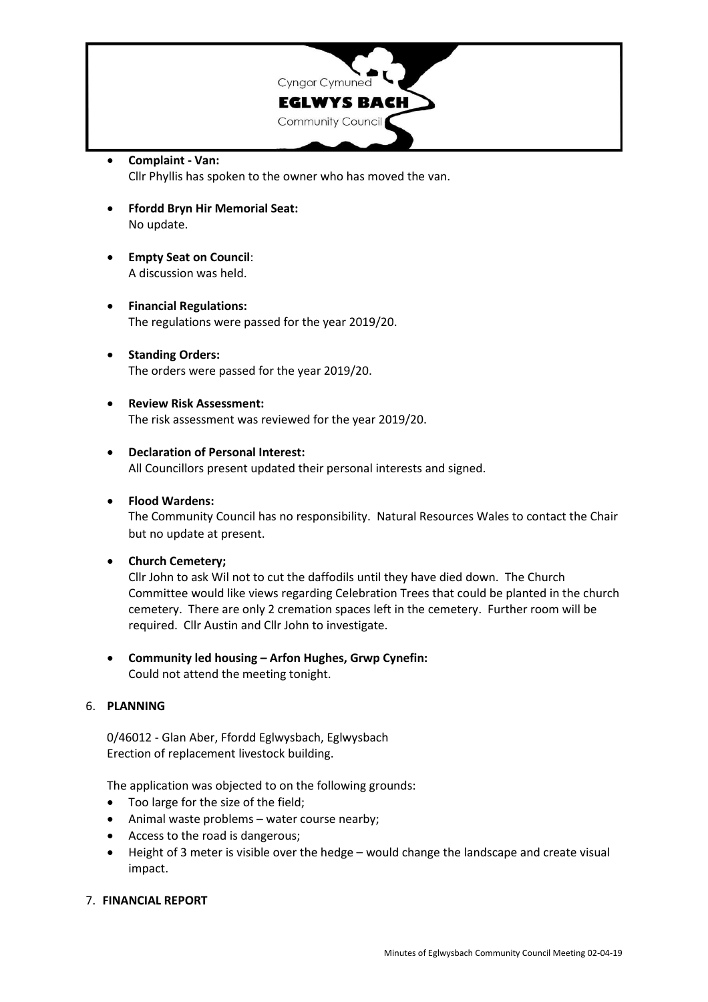

- **Complaint - Van:** Cllr Phyllis has spoken to the owner who has moved the van.
- **Ffordd Bryn Hir Memorial Seat:** No update.
- **Empty Seat on Council**: A discussion was held.
- **Financial Regulations:** The regulations were passed for the year 2019/20.
- **Standing Orders:** The orders were passed for the year 2019/20.
- **Review Risk Assessment:** The risk assessment was reviewed for the year 2019/20.
- **Declaration of Personal Interest:** All Councillors present updated their personal interests and signed.
- **Flood Wardens:**

The Community Council has no responsibility. Natural Resources Wales to contact the Chair but no update at present.

• **Church Cemetery;**

Cllr John to ask Wil not to cut the daffodils until they have died down. The Church Committee would like views regarding Celebration Trees that could be planted in the church cemetery. There are only 2 cremation spaces left in the cemetery. Further room will be required. Cllr Austin and Cllr John to investigate.

• **Community led housing – Arfon Hughes, Grwp Cynefin:** Could not attend the meeting tonight.

## 6. **PLANNING**

0/46012 - Glan Aber, Ffordd Eglwysbach, Eglwysbach Erection of replacement livestock building.

The application was objected to on the following grounds:

- Too large for the size of the field;
- Animal waste problems water course nearby;
- Access to the road is dangerous;
- Height of 3 meter is visible over the hedge would change the landscape and create visual impact.

## 7. **FINANCIAL REPORT**